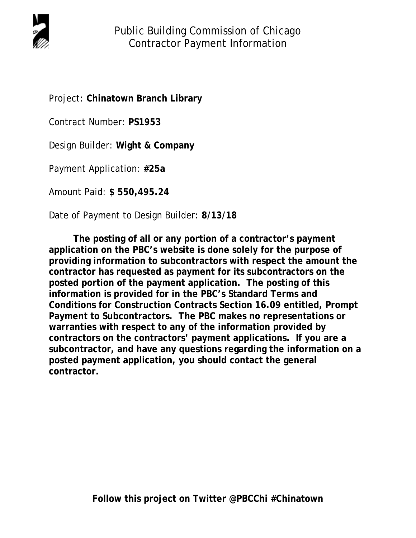

Project: **Chinatown Branch Library** 

Contract Number: **PS1953**

Design Builder: **Wight & Company** 

Payment Application: **#25a**

Amount Paid: **\$ 550,495.24**

Date of Payment to Design Builder: **8/13/18** 

 **The posting of all or any portion of a contractor's payment application on the PBC's website is done solely for the purpose of providing information to subcontractors with respect the amount the contractor has requested as payment for its subcontractors on the posted portion of the payment application. The posting of this information is provided for in the PBC's Standard Terms and Conditions for Construction Contracts Section 16.09 entitled, Prompt Payment to Subcontractors. The PBC makes no representations or warranties with respect to any of the information provided by contractors on the contractors' payment applications. If you are a subcontractor, and have any questions regarding the information on a posted payment application, you should contact the general contractor.**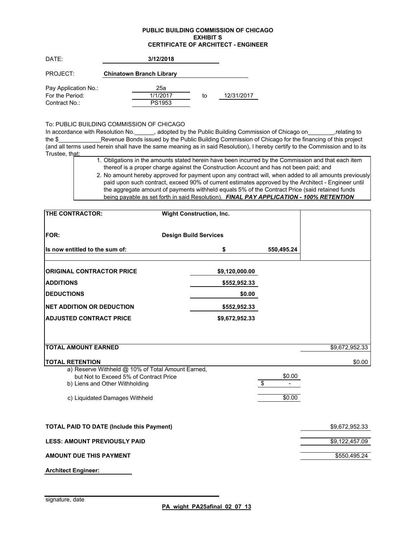### **PUBLIC BUILDING COMMISSION OF CHICAGO EXHIBIT S CERTIFICATE OF ARCHITECT - ENGINEER**

| DATE:                | 3/12/2018                       |    |            |
|----------------------|---------------------------------|----|------------|
| PROJECT:             | <b>Chinatown Branch Library</b> |    |            |
| Pay Application No.: | 25а                             |    |            |
| For the Period:      | 1/1/2017                        | to | 12/31/2017 |
| Contract No.:        | PS1953                          |    |            |

### To: PUBLIC BUILDING COMMISSION OF CHICAGO

In accordance with Resolution No. \_\_\_\_\_\_, adopted by the Public Building Commission of Chicago on\_\_\_\_\_\_\_\_,relating to the \$\_\_\_\_\_\_\_\_\_\_\_\_\_Revenue Bonds issued by the Public Building Commission of Chicago for the financing of this project (and all terms used herein shall have the same meaning as in said Resolution), I hereby certify to the Commission and to its Trustee, that:

| 1. Obligations in the amounts stated herein have been incurred by the Commission and that each item   |
|-------------------------------------------------------------------------------------------------------|
| thereof is a proper charge against the Construction Account and has not been paid; and                |
| 2. No amount hereby approved for payment upon any contract will, when added to all amounts previously |

paid upon such contract, exceed 90% of current estimates approved by the Architect - Engineer until the aggregate amount of payments withheld equals 5% of the Contract Price (said retained funds being payable as set forth in said Resolution). *FINAL PAY APPLICATION - 100% RETENTION* 

| THE CONTRACTOR:                                                                                                               | <b>Wight Construction, Inc.</b> |              |                |
|-------------------------------------------------------------------------------------------------------------------------------|---------------------------------|--------------|----------------|
| <b>FOR:</b>                                                                                                                   | <b>Design Build Services</b>    |              |                |
| Is now entitled to the sum of:                                                                                                | \$                              | 550,495.24   |                |
| <b>ORIGINAL CONTRACTOR PRICE</b>                                                                                              | \$9,120,000.00                  |              |                |
| <b>ADDITIONS</b>                                                                                                              | \$552,952.33                    |              |                |
| <b>DEDUCTIONS</b>                                                                                                             | \$0.00                          |              |                |
| <b>NET ADDITION OR DEDUCTION</b>                                                                                              | \$552,952.33                    |              |                |
| <b>ADJUSTED CONTRACT PRICE</b>                                                                                                | \$9,672,952.33                  |              |                |
|                                                                                                                               |                                 |              |                |
| <b>TOTAL AMOUNT EARNED</b>                                                                                                    |                                 |              | \$9,672,952.33 |
| <b>TOTAL RETENTION</b>                                                                                                        |                                 |              | \$0.00         |
| a) Reserve Withheld @ 10% of Total Amount Earned,<br>but Not to Exceed 5% of Contract Price<br>b) Liens and Other Withholding |                                 | \$0.00<br>\$ |                |
| c) Liquidated Damages Withheld                                                                                                |                                 | \$0.00       |                |
| <b>TOTAL PAID TO DATE (Include this Payment)</b>                                                                              |                                 |              | \$9,672,952.33 |
| <b>LESS: AMOUNT PREVIOUSLY PAID</b>                                                                                           |                                 |              | \$9,122,457.09 |
| <b>AMOUNT DUE THIS PAYMENT</b>                                                                                                |                                 |              | \$550,495.24   |
| <b>Architect Engineer:</b>                                                                                                    |                                 |              |                |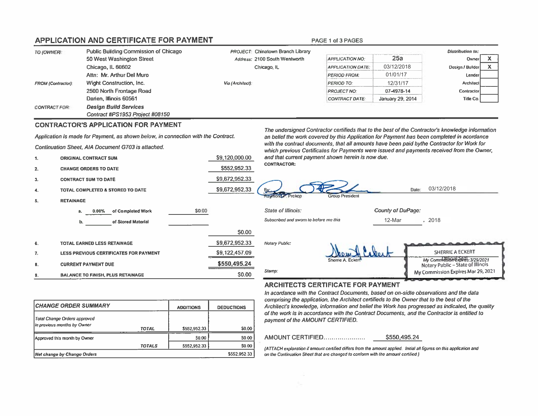# **APPLICATION AND CERTIFICATE FOR PAYMENT**

| TO (OWNER):               | Public Building Commission of Chicago | <b>PROJECT:</b> Chinatown Branch Library |                          |                  | Distribution to: |  |
|---------------------------|---------------------------------------|------------------------------------------|--------------------------|------------------|------------------|--|
|                           | 50 West Washington Street             | Address: 2100 South Wentworth            | <b>APPLICATION NO:</b>   | 25а              | Owner            |  |
|                           | Chicago, IL 60602                     | Chicago, IL                              | <b>APPLICATION DATE:</b> | 03/12/2018       | Design / Builder |  |
|                           | Attn: Mr. Arthur Del Muro             |                                          | <b>PERIOD FROM:</b>      | 01/01/17         | Lender           |  |
| <b>FROM (Contractor):</b> | Wight Construction, Inc.              | Via (Architect):                         | PERIOD TO:               | 12/31/17         | Architect        |  |
|                           | 2500 North Frontage Road              |                                          | <b>PROJECT NO:</b>       | 07-4978-14       | Contractor       |  |
|                           | Darien, Illinois 60561                |                                          | CONTRACT DATE:           | January 29, 2014 | Title Co.        |  |
| <b>CONTRACT FOR:</b>      | <b>Design Build Services</b>          |                                          |                          |                  |                  |  |
|                           | Contract #PS1953 Project #08150       |                                          |                          |                  |                  |  |

\$9,120,000.00

\$9,672,952.33

\$9,672,952.33

\$0.00

\$552,952.33

### **CONTRACTOR'S APPLICATION FOR PAYMENT**

Application is made for Payment, as shown below, in connection with the Contract.

of Completed Work

of Stored Material

Continuation Sheet, AIA Document G703 is attached.

- **ORIGINAL CONTRACT SUM**  $\mathbf{1}$
- **CHANGE ORDERS TO DATE**  $2.$
- **CONTRACT SUM TO DATE** 3.

 $\mathbf{a}$ 

b.

TOTAL COMPLETED & STORED TO DATE 4.

 $0.00%$ 

**TOTAL EARNED LESS RETAINAGE** 

**BALANCE TO FINISH, PLUS RETAINAGE** 

**CURRENT PAYMENT DUE** 

LESS PREVIOUS CERTIFICATES FOR PAYMENT

**RETAINAGE** 5.

6.

7,

B.

q

The undersigned Contractor certifieds that to the best of the Contractor's knowledge information an belief the work covered by this Application for Payment has been completed in acordance with the contract documents, that all amounts have been paid bythe Contractor for Work for which previous Certificates for Payments were issued and payments received from the Owner, and that current payment shown herein is now due. **CONTRACTOR:** 

#### **State of Illinois:** County of DuPage: Subscribed and sworn to before me this 12-Mar , 2018 \$0.00 \$9,672,952.33 Notary Public: \$9,122,457.09 SHERRIE A ECKERT My Commission diplies: 3/29/2021 \$550,495.24 Notary Public - State of Illinois Stamp: My Commission Expires Mar 29, 2021 S0.00

**Oup President** 

### **ARCHITECTS CERTIFICATE FOR PAYMENT**

PAGE 1 of 3 PAGES

In acordance with the Contract Documents, based on on-sidte observations and the data comprising the application, the Architect certifieds to the Owner that to the best of the Architect's knowledge, information and belief the Work has progressed as indicated, the quality of the work is in accordance with the Contract Documents, and the Contractor is entitled to payment of the AMOUNT CERTIFIED.

### AMOUNT CERTIFIED.....................

Prokon

\$550,495.24

03/12/2018

Date:

(ATTACH explanation if amount certified differs from the amount applied. Initial all figures on this application and on the Continuation Sheet that are changed to conform with the amount certified.)

| <b>ICHANGE ORDER SUMMARY</b>                                |               | <b>ADDITIONS</b> | <b>DEDUCTIONS</b> |  |  |
|-------------------------------------------------------------|---------------|------------------|-------------------|--|--|
| Total Change Orders approved<br>in previous months by Owner | <b>TOTAL</b>  | \$552,952.33     | 50.00             |  |  |
| Approved this month by Owner                                |               | S0.00            | 50.00             |  |  |
|                                                             | <b>TOTALS</b> | \$552,952.33     | \$0.00            |  |  |
| <b>Net change by Change Orders</b>                          |               |                  | \$552,952.33      |  |  |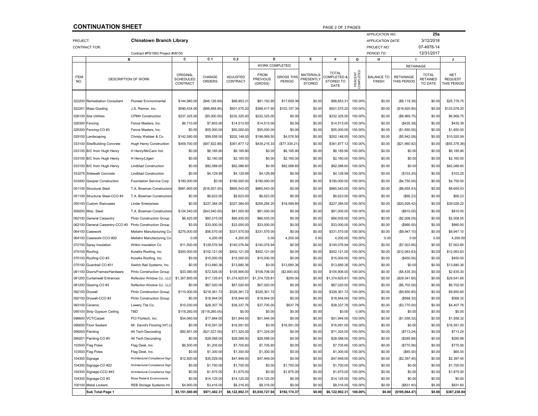### **CONTINUATION SHEET**

|                    |                                                                                      |                                 |                                   |                         |                             |                                           |                             |                                                       |                                                  |                      | <b>APPLICATION NO:</b>             |                                 | 25a                                 |                                             |
|--------------------|--------------------------------------------------------------------------------------|---------------------------------|-----------------------------------|-------------------------|-----------------------------|-------------------------------------------|-----------------------------|-------------------------------------------------------|--------------------------------------------------|----------------------|------------------------------------|---------------------------------|-------------------------------------|---------------------------------------------|
| PROJECT:           |                                                                                      | <b>Chinatown Branch Library</b> |                                   |                         |                             |                                           |                             |                                                       |                                                  |                      | <b>APPLICATION DATE:</b>           |                                 | 3/12/2018                           |                                             |
|                    | <b>CONTRACT FOR:</b>                                                                 |                                 |                                   |                         |                             |                                           |                             |                                                       |                                                  |                      | <b>PROJECT NO:</b>                 |                                 | 07-4978-14                          |                                             |
|                    |                                                                                      | Contract #PS1953 Project #08150 |                                   |                         |                             |                                           |                             |                                                       |                                                  |                      | PERIOD TO:                         |                                 | 12/31/2017                          |                                             |
|                    |                                                                                      | в                               | С                                 | C.1                     | C.2                         | D                                         |                             | Е                                                     | F                                                | G                    | н                                  |                                 |                                     | J                                           |
|                    |                                                                                      |                                 |                                   |                         |                             | WORK COMPLETED                            |                             |                                                       |                                                  |                      |                                    | <b>RETAINAGE</b>                |                                     |                                             |
| <b>ITEM</b><br>NO. | <b>DESCRIPTION OF WORK</b>                                                           |                                 | ORIGINAL<br>SCHEDULED<br>CONTRACT | <b>CHANGE</b><br>ORDERS | <b>ADJUSTED</b><br>CONTRACT | <b>FROM</b><br><b>PREVIOUS</b><br>(GROSS) | <b>GROSS THIS</b><br>PERIOD | <b>MATERIALS</b><br><b>PRESENTLY</b><br><b>STORED</b> | <b>TOTAL</b><br>COMPLETED &<br>STORED TO<br>DATE | PERCENT<br>COMPLETED | <b>BALANCE TO</b><br><b>FINISH</b> | <b>RETAINAGE</b><br>THIS PERIOD | <b>TOTAL</b><br>RETAINED<br>TO DATE | <b>NET</b><br><b>REQUEST</b><br>THIS PERIOD |
|                    | 022200 Remediation Consultant                                                        | Pioneer Environmental           | \$144,980.00                      | (\$46,126.69)           | \$98,853.31                 | \$81,193.95                               | \$17,659.36                 | \$0.00                                                | \$98,853.31                                      | 100.00%              | \$0.00                             | (\$8, 119.39)                   | \$0.00                              | \$25,778.75                                 |
| 022201             | <b>Mass Grading</b>                                                                  | J.S. Riemer, Inc.               | \$590.434.00                      | (\$88,858.80            | \$501,575.20                | \$398,417.90                              | \$103,157.30                | \$0.00                                                | \$501,575.20                                     | 100.00%              | \$0.00                             | (\$19,920.90)                   | \$0.00                              | \$123,078.20                                |
|                    | 026100 Site Utilities                                                                | <b>CPMH Construction</b>        | \$237,325.00                      | (\$5,000.00]            | \$232,325.00                | \$232,325.00                              | \$0.00                      | \$0.00                                                | \$232,325.00                                     | 100.00%              | \$0.00                             | (\$6,969.75)                    | \$0.00                              | \$6,969.75                                  |
|                    |                                                                                      |                                 |                                   |                         |                             |                                           |                             |                                                       |                                                  |                      |                                    |                                 |                                     |                                             |
|                    | 028300 Fencing                                                                       | Fence Masters, Inc.             | \$6,710.00                        | \$7,803.00              | \$14,513.00                 | \$14,513.00                               | \$0.00                      | \$0.00                                                | \$14,513.00                                      | 100.00%              | \$0.00                             | ( \$435.39)                     | \$0.00                              | \$435.39                                    |
|                    | 028300 Fencing-CO #3                                                                 | Fence Masters, Inc.             | \$0.00                            | \$55,000.00             | \$55,000.00                 | \$55,000.00                               | \$0.00                      | \$0.00                                                | \$55,000.00                                      | 100.00%<br>100.00%   | \$0.00<br>\$0.00                   | (\$1,650.00)                    | \$0.00                              | \$1,650.00                                  |
|                    | 029100 Landscaping                                                                   | Christy Webber & Co.            | \$142,590.00                      | \$59,558.00             | \$202,148.00                | \$198,069.50                              | \$4,078.50                  | \$0.00                                                | \$202,148.00                                     |                      |                                    | (\$5,942.09)                    | \$0.00                              | \$10,020.59                                 |
|                    | 033100 Site/Building Concrete                                                        | Hugh Henry Construction         | \$459,700.00                      | (\$97,822.88)           | \$361,877.12                | \$439,216.33                              | (\$77,339.21                | \$0.00                                                | \$361,877.12                                     | 100.00%              | \$0.00                             | (\$21,960.82)                   | \$0.00                              | (\$55,378.39)                               |
|                    | 033100 B/C from Hugh Henry                                                           | H Henry/McCann Ind              | \$0.00                            | \$6,185.90              | \$6,185.90                  | \$0.00                                    | \$6,185.90                  | \$0.00                                                | \$6,185.90                                       | 100.00%              | \$0.00                             | \$0.00                          | \$0.00                              | \$6,185.90                                  |
|                    | 033100 B/C from Hugh Henry                                                           | H Henry/Litgen                  | \$0.00                            | \$2,160.00              | \$2,160.00                  | \$0.00                                    | \$2,160.00                  | \$0.00                                                | \$2,160.00                                       | 100.00%              | \$0.00                             | \$0.00                          | \$0.00                              | \$2,160.00                                  |
|                    | 033100 B/C from Hugh Henry                                                           | <b>Lindblad Construction</b>    | \$0.00                            | \$82,088.60             | \$82,088.60                 | \$0.00                                    | \$82,088.60                 | \$0.00                                                | \$82,088.60                                      | 100.00%              | \$0.00                             | \$0.00                          | \$0.00                              | \$82,088.60                                 |
|                    | 033275 Sidewalk Concrete                                                             | <b>Lindblad Construction</b>    | \$0.00                            | \$4,129.99              | \$4,129.99                  | \$4,129.99                                | \$0.00                      | \$0.00                                                | \$4,129.99                                       | 100.00%              | \$0.00                             | (\$103.25)                      | \$0.00                              | \$103.25                                    |
|                    | 033400 Geopier Construction                                                          | Foundation Service Corp         | \$190,000.00                      | \$0.00                  | \$190,000.00                | \$190,000.00                              | \$0.00                      | \$0.00                                                | \$190,000.00                                     | 100.00%              | \$0.00                             | (\$4,750.00)                    | \$0.00                              | \$4,750.00                                  |
|                    | 051100 Structural Steel                                                              | T.A. Bowman Constructors        | \$881,600.00                      | (\$16,057.00            | \$865,543.00                | \$865,543.00                              | \$0.00                      | \$0.00                                                | \$865,543.00                                     | 100.00%              | \$0.00                             | (\$8,655.43)                    | \$0.00                              | \$8,655.43                                  |
|                    | 051100 Structural Steel-CCO #3                                                       | T.A. Bowman Constructors        | \$0.00                            | \$6,623.00              | \$6,623.00                  | \$6,623.00                                | \$0.00                      | \$0.00                                                | \$6,623.00                                       | 100.00%              | \$0.00                             | (\$66.23)                       | \$0.00                              | \$66.23                                     |
|                    | 055100 Custom Staircases                                                             | <b>Linder Enterprises</b>       | \$0.00                            | \$227,384.00            | \$227,384.00                | \$209,284.20                              | \$18,099.80                 | \$0.00                                                | \$227,384.00                                     | 100.00%              | \$0.00                             | (\$20,928.42)                   | \$0.00                              | \$39,028.22                                 |
|                    | 059200 Misc. Steel                                                                   | T.A. Bowman Constructor         | \$124,540.00                      | (\$43,540.00)           | \$81,000.00                 | \$81,000.00                               | \$0.00                      | \$0.00                                                | \$81,000.00                                      | 100.00%              | \$0.00                             | (\$810.00)                      | \$0.00                              | \$810.00                                    |
|                    |                                                                                      |                                 | \$6,420.00                        | \$60,515.00             | \$66,935.00                 | \$66,935.00                               |                             |                                                       | \$66,935.00                                      | 100.00%              | \$0.00                             | (\$2,008.05)                    | \$0.00                              | \$2,008.05                                  |
|                    | 062100 General Carpentry<br>062100 General Carpentry-CCO #3 Pinto Construction Group | Pinto Construction Group        | \$0.00                            | \$33,000.00             | \$33,000.00                 | \$33,000.00                               | \$0.00<br>\$0.00            | \$0.00<br>\$0.00                                      | \$33,000.00                                      | 100.00%              | \$0.00                             | (\$990.00)                      | \$0.00                              | \$990.00                                    |
| 064100             | Casework                                                                             | Meilahn Manufacturing Co        | \$275,000.00                      | \$56,570.00             | \$331,570.00                | \$331,570.00                              | \$0.00                      | \$0.00                                                | \$331,570.00                                     | 100.00%              | \$0.00                             | (\$9,947.10)                    | \$0.00                              | \$9,947.10                                  |
| 064100             | Casework-CCO #20                                                                     | Meilahn Manufacturing Co        | 0.00                              | 4,200.00                | 4,200.00                    | 0.00                                      | 4,200.00                    | 0.00                                                  | 4,200.00                                         | 100.00%              | 0.00                               | 0.00                            | 0.00                                | 4,200.00                                    |
|                    | 072150 Spray Insulation                                                              | Wilkin Insulation Co            | \$11,500.00                       | \$128,576.94            | \$140,076.94                | \$140,076.94                              | \$0.00                      | \$0.00                                                | \$140,076.94                                     | 100.00%              | \$0.00                             | (\$7,003.85)                    | \$0.00                              | \$7,003.85                                  |
|                    | 075100 Roofing                                                                       | Korellis Roofing, Inc.          | \$300,000.00                      | \$102,121.00            | \$402,121.00                | \$402,121.00                              | \$0.00                      | \$0.00                                                | \$402,121.00                                     | 100.00%              | \$0.00                             | (\$12,063.63)                   | \$0.00                              | \$12,063.63                                 |
|                    | 075100 Roofing-CO #3                                                                 | Korellis Roofing, Inc.          | \$0.00                            | \$15,000.00             | \$15,000.00                 | \$15,000.00                               | \$0.00                      | \$0.00                                                | \$15,000.00                                      | 100.00%              | \$0.00                             | (\$450.00)                      | \$0.00                              | \$450.00                                    |
|                    | 075150 Guardrail CO #31                                                              | Switch Rail Systems, Inc.       | \$0.00                            | \$13,680.36             | \$13,680.36                 | \$0.00                                    | \$13,680.36                 | \$0.00                                                | \$13,680.36                                      | 100.00%              | \$0.00                             | \$0.00                          | \$0.00                              | \$13,680.36                                 |
|                    | 081100 Doors/Frames/Hardware                                                         | Pinto Construction Group        | \$33,380.00                       | \$72,526.00             | \$105,906.00                | \$108,706.00                              | (\$2,800.00)                | \$0.00                                                | \$105,906.00                                     | 100.00%              | \$0.00                             | (\$5,435.30)                    | \$0.00                              | \$2,635.30                                  |
|                    | 081200 Curtainwall Entrances                                                         | Reflection Window Co., LLC      | \$1,357,800.00                    | \$17,125.81             | \$1,374,925.81              | \$1,374,725.81                            | \$200.00                    | \$0.00                                                | \$1,374,925.81                                   | 100.00%              | \$0.00                             | (\$29,341.65)                   | \$0.00                              | \$29,541.65                                 |
|                    | 081200 Glazing-CO #3                                                                 | Reflection Window Co., LLC      | \$0.00                            | \$67,020.00             | \$67,020.00                 | \$67,020.00                               | \$0.00                      | \$0.00                                                | \$67,020.00                                      | 100.00%              | \$0.00                             | (\$6,702.00)                    | \$0.00                              | \$6,702.00                                  |
|                    | 092100 Drywall                                                                       | Pinto Construction Group        | \$110,000.00                      | \$218,361.72            | \$328,361.72                | \$328,361.72                              | \$0.00                      | \$0.00                                                | \$328,361.72                                     | 100.00%              | \$0.00                             | (\$9,850.85)                    | \$0.00                              | \$9,850.85                                  |
|                    | 092100 Drywall-CCO #3                                                                | Pinto Construction Group        | \$0.00                            | \$18,944.00             | \$18,944.00                 | \$18,944.00                               | \$0.00                      | \$0.00                                                | \$18,944.00                                      | 100.00%              | \$0.00                             | (\$568.32)                      | \$0.00                              | \$568.32                                    |
|                    | 093100 Ceramic                                                                       | Lowery Tile Co.                 | \$10,030.00                       | \$28,307.76             | \$38,337.76                 | \$37,700.00                               | \$637.76                    | \$0.00                                                | \$38,337.76                                      | 100.00%              | \$0.00                             | (\$3,770.00)                    | \$0.00                              | \$4,407.76                                  |
|                    | 095100 Strip Gypsum Ceiling                                                          | <b>TBD</b>                      | \$118,260.00                      | (\$118,260.00)          | \$0.00                      | \$0.00                                    | \$0.00                      | \$0.00                                                | \$0.00                                           | 0.00%                | \$0.00                             | \$0.00                          | \$0.00                              | \$0.00                                      |
|                    | 096600 VCT/Carpet                                                                    | PCI Flortech. Inc.              | \$34,060.00                       | \$17,884.00             | \$51,944.00                 | \$51,944.00                               | \$0.00                      | \$0.00                                                | \$51,944.00                                      | 100.00%              | \$0.00                             | (\$1,558.32)                    | \$0.00                              | \$1,558.32                                  |
|                    | 096650 Floor Sealant                                                                 | Mr. David's Flooring Int'l L    | \$0.00                            | \$16,591.00             | \$16,591.00                 | \$0.00                                    | \$16,591.00                 | \$0.00                                                | \$16,591.00                                      | 100.00%              | \$0.00                             | \$0.00                          | \$0.00                              | \$16,591.00                                 |
|                    | 099200 Painting                                                                      | All Tech Decorating             | \$92,851.00                       | (\$21,527.00)           | \$71,324.00                 | \$71,324.00                               | \$0.00                      | \$0.00                                                | \$71,324.00                                      | 100.00%              | \$0.00                             | (\$713.24)                      | \$0.00                              | \$713.24                                    |
|                    | 099201 Painting-CO #3                                                                | All Tech Decorating             | \$0.00                            | \$28,588.00             | \$28,588.00                 | \$28,588.00                               | \$0.00                      | \$0.00                                                | \$28,588.00                                      | 100.00%              | \$0.00                             | (\$285.88)                      | \$0.00                              | \$285.88                                    |
|                    | 103500 Flag Poles                                                                    | Flag Desk, Inc.                 | \$6,500.00                        | \$1,205.60              | \$7,705.60                  | \$7,705.60                                | \$0.00                      | \$0.00                                                | \$7,705.60                                       | 100.00%              | \$0.00                             | (\$770.56)                      | \$0.00                              | \$770.56                                    |
|                    | 103500 Flag Poles                                                                    | Flag Desk, Inc.                 | \$0.00                            | \$1,300.00              | \$1,300.00                  | \$1,300.00                                | \$0.00                      | \$0.00                                                | \$1,300.00                                       | 100.00%              | \$0.00                             | (\$65.00)                       | \$0.00                              | \$65.00                                     |
|                    | 104300 Signage                                                                       | Architectural Compliance Sign   | \$12,920.00                       | \$35,029.00             | \$47,949.00                 | \$47,949.00                               | \$0.00                      | \$0.00                                                | \$47,949.00                                      | 100.00%              | \$0.00                             | (\$2,397.45)                    | \$0.00                              | \$2,397.45                                  |
|                    | 104300 Signage-CO #22                                                                | Architectural Compliance Sign   | \$0.00                            | \$1,700.00              | \$1,700.00                  | \$0.00                                    | \$1,700.00                  | \$0.00                                                | \$1,700.00                                       | 100.00%              | \$0.00                             | \$0.00                          | \$0.00                              | \$1,700.00                                  |
|                    | 104300 Signage-CCO #43                                                               | Architectural Compliance Sign   | \$0.00                            | \$1,875.00              | \$1,875.00                  | \$0.00                                    | \$1,875.00                  | \$0.00                                                | \$1,875.00                                       | 100.00%              | \$0.00                             | \$0.00                          | \$0.00                              | \$1,875.00                                  |
|                    | 104300 Signage-CO #3                                                                 | Moss Retail & Environments      | \$0.00                            | \$14,125.00             | \$14,125.00                 | \$14,125.00                               | \$0.00                      | \$0.00                                                | \$14,125.00                                      | 100.00%              | \$0.00                             | \$0.00                          | \$0.00                              | \$0.00                                      |
|                    | 105100 Metal Lockers                                                                 | REB Storage Systems Int.        | \$4,900.00                        | \$3,416.00              | \$8,316.00                  | \$8,316.00                                | \$0.00                      | \$0.00                                                | \$8,316.00                                       | 100.00%              | \$0.00                             | (\$831.60)                      | \$0.00                              | \$831.60                                    |
|                    | Sub Total Page 1                                                                     |                                 | \$5,151,500.00                    | \$971,402.31            | \$6,122,902.31              | \$5,930,727.94                            | \$192,174.37                | \$0.00                                                | \$6,122,902.31                                   | 100.00%              | \$0.00                             | (\$195,064.47)                  | \$0.00                              | \$387,238.84                                |

PAGE 2 OF 3 PAGES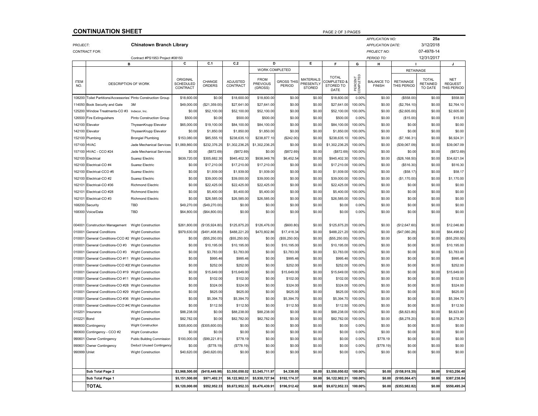## **CONTINUATION SHEET**

|                    |                                                                |                                   |                                          |                         |                      |                                           |                             |                                                |                                                  |                      | <b>APPLICATION NO:</b>             |                                 | 25a                                        |                                             |
|--------------------|----------------------------------------------------------------|-----------------------------------|------------------------------------------|-------------------------|----------------------|-------------------------------------------|-----------------------------|------------------------------------------------|--------------------------------------------------|----------------------|------------------------------------|---------------------------------|--------------------------------------------|---------------------------------------------|
| PROJECT:           |                                                                | <b>Chinatown Branch Library</b>   |                                          |                         |                      |                                           |                             |                                                |                                                  |                      | <b>APPLICATION DATE:</b>           |                                 | 3/12/2018                                  |                                             |
|                    | <b>CONTRACT FOR:</b>                                           |                                   |                                          |                         |                      |                                           |                             |                                                |                                                  |                      | <b>PROJECT NO:</b>                 |                                 | 07-4978-14                                 |                                             |
|                    |                                                                | Contract #PS1953 Project #08150   |                                          |                         |                      |                                           |                             |                                                |                                                  |                      | PERIOD TO:                         |                                 | 12/31/2017                                 |                                             |
|                    | B                                                              |                                   | С                                        | C.1                     | C.2                  | D                                         |                             | E                                              | F.                                               | G                    | н                                  |                                 |                                            | J                                           |
|                    |                                                                |                                   |                                          |                         |                      | <b>WORK COMPLETED</b>                     |                             |                                                |                                                  |                      |                                    | <b>RETAINAGE</b>                |                                            |                                             |
| <b>ITEM</b><br>NO. | <b>DESCRIPTION OF WORK</b>                                     |                                   | ORIGINAL<br><b>SCHEDULED</b><br>CONTRACT | CHANGE<br><b>ORDERS</b> | ADJUSTED<br>CONTRACT | <b>FROM</b><br><b>PREVIOUS</b><br>(GROSS) | <b>GROSS THIS</b><br>PERIOD | <b>MATERIALS</b><br>PRESENTLY<br><b>STORED</b> | <b>TOTAL</b><br>COMPLETED &<br>STORED TO<br>DATE | PERCENT<br>COMPLETED | <b>BALANCE TO</b><br><b>FINISH</b> | <b>RETAINAGE</b><br>THIS PERIOD | <b>TOTAL</b><br><b>RETAINED</b><br>TO DATE | <b>NET</b><br><b>REQUEST</b><br>THIS PERIOD |
| 108200             | <b>Toilet Partitions/Accessories' Pinto Construction Group</b> |                                   | \$18,600.00                              | \$0.00                  | \$18,600.00          | \$18,600.00                               | \$0.00                      | \$0.00                                         | \$18,600.00                                      | 0.00%                | \$0.00                             | (\$558.00)                      | \$0.00                                     | \$558.00                                    |
| 11405              | Book Security and Gate                                         | 3M                                | \$49,000.00                              | (\$21,359.00            | \$27,641.00          | \$27,641.00                               | \$0.00                      | \$0.00                                         | \$27,641.00                                      | 100.00%              | \$0.00                             | (\$2,764.10)                    | \$0.00                                     | \$2,764.10                                  |
| 125200             | Window Treatments-CO #3                                        | Indecor, Inc.                     | \$0.00                                   | \$52,100.00             | \$52,100.00          | \$52,100.00                               | \$0.00                      | \$0.00                                         | \$52,100.00                                      | 100.00%              | \$0.00                             | (\$2,605.00)                    | \$0.00                                     | \$2,605.00                                  |
| 126500             | Fire Extinguishers                                             | Pinto Construction Group          | \$500.00                                 | \$0.00                  | \$500.00             | \$500.00                                  | \$0.00                      | \$0.00                                         | \$500.00                                         | 0.00%                | \$0.00                             | (\$15.00)                       | \$0.00                                     | \$15.00                                     |
| 142100             | Flevator                                                       | ThyssenKrupp Elevator             | \$65,000.00                              | \$19,100.00             | \$84,100.00          | \$84,100.00                               | \$0.00                      | \$0.00                                         | \$84,100.00                                      | 100.00%              | \$0.00                             | \$0.00                          | \$0.00                                     | \$0.00                                      |
| 142100             | Elevator                                                       | ThyssenKrupp Elevator             | \$0.00                                   | \$1,850.00              | \$1,850.00           | \$1,850.00                                | \$0.00                      | \$0.00                                         | \$1,850.00                                       | 100.00%              | \$0.00                             | \$0.00                          | \$0.00                                     | \$0.00                                      |
| 152100             | Plumbing                                                       | <b>Brongiel Plumbing</b>          | \$153,080.00                             | \$85,555.10             | \$238,635.10         | \$238,877.10                              | (\$242.00)                  | \$0.00                                         | \$238,635.10                                     | 100.00%              | \$0.00                             | (\$7, 166.31)                   | \$0.00                                     | \$6,924.31                                  |
| 157100             | <b>HVAC</b>                                                    | Jade Mechanical Services          | \$1,069,860.00                           | \$232,376.25            | \$1,302,236.25       | \$1,302,236.25                            | \$0.00                      | \$0.00                                         | \$1,302,236.25                                   | 100.00%              | \$0.00                             | (\$39,067.09)                   | \$0.00                                     | \$39,067.09                                 |
| 15710              | HVAC - CCO #24                                                 | Jade Mechanical Services          | \$0.00                                   | (\$872.69               | (\$872.69)           | \$0.00                                    | (\$872.69)                  | \$0.00                                         | (\$872.69)                                       | 100.00%              | \$0.00                             | \$0.00                          | \$0.00                                     | (\$872.69)                                  |
| 162100             | Electrical                                                     | Suarez Electric                   | \$639,720.00                             | \$305,682.30            | \$945,402.30         | \$938,949.76                              | \$6,452.54                  | \$0.00                                         | \$945,402.30                                     | 100.00%              | \$0.00                             | (\$28,168.50)                   | \$0.00                                     | \$34,621.04                                 |
| 162100             | Electrical-CO #4                                               | Suarez Electric                   | \$0.00                                   | \$17,210.00             | \$17,210.00          | \$17,210.00                               | \$0.00                      | \$0.00                                         | \$17,210.00                                      | 100.00%              | \$0.00                             | (\$516.30)                      | \$0.00                                     | \$516.30                                    |
| 162100             | Electrical-CCO #5                                              | Suarez Electric                   | \$0.00                                   | \$1,939.00              | \$1,939.00           | \$1,939.00                                | \$0.00                      | \$0.00                                         | \$1,939.00                                       | 100.00%              | \$0.00                             | (S58.17)                        | \$0.00                                     | \$58.17                                     |
| 16210              | Electrical-CO #2                                               | Suarez Electric                   | \$0.00                                   | \$39,000.00             | \$39,000.00          | \$39,000.00                               | \$0.00                      | \$0.00                                         | \$39,000.00                                      | 100.00%              | \$0.00                             | (\$1,170.00)                    | \$0.00                                     | \$1,170.00                                  |
| 16210              | Electrical-CO #36                                              | <b>Richmond Electric</b>          | \$0.00                                   | \$22,425.00             | \$22,425.00          | \$22,425.00                               | \$0.00                      | \$0.00                                         | \$22,425.00                                      | 100.00%              | \$0.00                             | \$0.00                          | \$0.00                                     | \$0.00                                      |
| 16210              | Electrical-CO #28                                              | <b>Richmond Electric</b>          | \$0.00                                   | \$5,400.00              | \$5,400.00           | \$5,400.00                                | \$0.00                      | \$0.00                                         | \$5,400.00                                       | 100.00%              | \$0.00                             | \$0.00                          | \$0.00                                     | \$0.00                                      |
| 16210              | Electrical-CO #3                                               | <b>Richmond Electric</b>          | \$0.00                                   | \$26,585.00             | \$26,585.00          | \$26,585.00                               | \$0.00                      | \$0.00                                         | \$26,585.00                                      | 100.00%              | \$0.00                             | \$0.00                          | \$0.00                                     | \$0.00                                      |
| 168200             | Security                                                       | TBD                               | \$49,270.00                              | (\$49,270.00)           | \$0.00               | \$0.00                                    | \$0.00                      | \$0.00                                         | \$0.00                                           | 0.00%                | \$0.00                             | \$0.00                          | \$0.00                                     | \$0.00                                      |
| 168300             | Voice/Data                                                     | TBD                               | \$64,800.00                              | (\$64,800.00)           | \$0.00               | \$0.00                                    | \$0.00                      | \$0.00                                         | \$0.00                                           | 0.00%                | \$0.00                             | \$0.00                          | \$0.00                                     | \$0.00                                      |
|                    |                                                                |                                   |                                          |                         |                      |                                           |                             |                                                |                                                  |                      |                                    |                                 |                                            |                                             |
| 00400              | <b>Construction Management</b>                                 | <b>Wight Construction</b>         | \$261,800.00                             | (\$135.924.80           | \$125,875.20         | \$126,476.00                              | (\$600.80)                  | \$0.00                                         | \$125,875.20                                     | 100.00%              | \$0.00                             | (\$12,647.60)                   | \$0.00                                     | \$12,046.80                                 |
| 01000              | <b>General Conditions</b>                                      | <b>Wight Construction</b>         | \$979,630.00                             | (\$491,408.80           | \$488,221.20         | \$470,802.86                              | \$17,418.34                 | \$0.00                                         | \$488,221.20                                     | 100.00%              | \$0.00                             | (S47,080.28)                    | \$0.00                                     | \$64,498.62                                 |
| 01000              | General Conditions-CCO #2 Wight Construction                   |                                   | \$0.00                                   | (\$55,250.00            | (\$55,250.00         | \$0.00                                    | (\$55,250.00]               | \$0.00                                         | (\$55,250.00)                                    | 100.00%              | \$0.00                             | \$0.00                          | \$0.00                                     | (\$55,250.00]                               |
| 01000              | General Conditions-CO #3                                       | <b>Wight Construction</b>         | \$0.00                                   | \$10,195.00             | \$10,195.00          | \$0.00                                    | \$10,195.00                 | \$0.00                                         | \$10,195.00                                      | 100.00%              | \$0.00                             | \$0.00                          | \$0.00                                     | \$10,195.00                                 |
| 01000              | General Conditions-CO #3                                       | <b>Wight Construction</b>         | \$0.00                                   | \$3,783.00              | \$3,783.00           | \$0.00                                    | \$3,783.00                  | \$0.00                                         | \$3,783.00                                       | 100.00%              | \$0.00                             | \$0.00                          | \$0.00                                     | \$3,783.00                                  |
| 01000              | General Conditions-CO #11 Wight Construction                   |                                   | \$0.00                                   | \$995.46                | \$995.46             | \$0.00                                    | \$995.46                    | \$0.00                                         | \$995.46                                         | 100.00%              | \$0.00                             | \$0.00                          | \$0.00                                     | \$995.46                                    |
| 01000              | General Conditions-CCO #20Wight Construction                   |                                   | \$0.00                                   | \$252.00                | \$252.00             | \$0.00                                    | \$252.00                    | \$0.00                                         | \$252.00                                         | 100.00%              | \$0.00                             | \$0.00                          | \$0.00                                     | \$252.00                                    |
| 01000              | General Conditions-CO #19 Wight Construction                   |                                   | \$0.00                                   | \$15,649.00             | \$15,649.00          | \$0.00                                    | \$15,649.00                 | \$0.00                                         | \$15,649.00                                      | 100.00%              | \$0.00                             | \$0.00                          | \$0.00                                     | \$15,649.00                                 |
| 01000              | General Conditions-CO #11 Wight Construction                   |                                   | \$0.00                                   | \$102.00                | \$102.00             | \$0.00                                    | \$102.00                    | \$0.00                                         | \$102.00                                         | 100.00%              | \$0.00                             | \$0.00                          | \$0.00                                     | \$102.00                                    |
| 01000              | General Conditions-CO #28 Wight Construction                   |                                   | \$0.00                                   | \$324.00                | \$324.00             | \$0.00                                    | \$324.00                    | \$0.00                                         | \$324.00                                         | 100.00%              | \$0.00                             | \$0.00                          | \$0.00                                     | \$324.00                                    |
| 01000              | General Conditions-CO #29 Wight Construction                   |                                   | \$0.00                                   | \$625.00                | \$625.00             | \$0.00                                    | \$625.00                    | \$0.00                                         | \$625.00                                         | 100.00%              | \$0.00                             | \$0.00                          | \$0.00                                     | \$625.00                                    |
| 01000              | General Conditions-CO #36 Wight Construction                   |                                   | \$0.00                                   | \$5,394.70              | \$5,394.70           | \$0.00                                    | \$5,394.70                  | \$0.00                                         | \$5,394.70                                       | 100.00%              | \$0.00                             | \$0.00                          | \$0.00                                     | \$5,394.70                                  |
| 01000              | General Conditions-CCO #43Wight Construction                   |                                   | \$0.00                                   | \$112.50                | \$112.50             | \$0.00                                    | \$112.50                    | \$0.00                                         | \$112.50                                         | 100.00%              | \$0.00                             | \$0.00                          | \$0.00                                     | \$112.50                                    |
| 01020              | Insurance                                                      | <b>Wight Construction</b>         | \$88,238.00                              | \$0.00                  | \$88,238.00          | \$88,238.00                               | \$0.00                      | \$0.00                                         | \$88,238.00                                      | 100.00%              | \$0.00                             | (\$8,823.80)                    | \$0.00                                     | \$8,823.80                                  |
| 010221             | Bond                                                           | <b>Wight Construction</b>         | \$82,782.00                              | \$0.00                  | \$82,782.00          | \$82,782.00                               | \$0.00                      | \$0.00                                         | \$82,782.00                                      | 100.00%              | \$0.00                             | (\$8,278.20)                    | \$0.00                                     | \$8,278.20                                  |
| 990600             | Contingency                                                    | <b>Wight Construction</b>         | \$305,600.00                             | (\$305,600.00)          | \$0.00               | \$0.00                                    | \$0.00                      | \$0.00                                         | \$0.00                                           | 0.00%                | \$0.00                             | \$0.00                          | \$0.00                                     | \$0.00                                      |
| 99060              | Contingency - CCO #2                                           | <b>Wight Construction</b>         | \$0.00                                   | \$0.00                  | \$0.00               | \$0.00                                    | \$0.00                      | \$0.00                                         | \$0.00                                           | 0.00%                | \$0.00                             | \$0.00                          | \$0.00                                     | \$0.00                                      |
| 99060              | Owner Contingency                                              | <b>Public Building Commission</b> | \$100,000.00                             | (\$99,221.81            | \$778.19             | \$0.00                                    | \$0.00                      | \$0.00                                         | \$0.00                                           | 0.00%                | \$778.19                           | \$0.00                          | \$0.00                                     | \$0.00                                      |
| 99060              | Owner Contingency                                              | Deduct Unused Contingency         | \$0.00                                   | (\$778.19               | (\$778.19            | \$0.00                                    | \$0.00                      | \$0.00                                         | \$0.00                                           | 0.00%                | (\$778.19)                         | \$0.00                          | \$0.00                                     | \$0.00                                      |
| 990999             | Unlet                                                          | Wight Construction                | \$40,620.00                              | (\$40,620.00]           | \$0.00               | \$0.00                                    | \$0.00                      | \$0.00                                         | \$0.00                                           | 0.00%                | \$0.00                             | \$0.00                          | \$0.00                                     | \$0.00                                      |
|                    |                                                                |                                   |                                          |                         |                      |                                           |                             |                                                |                                                  |                      |                                    |                                 |                                            |                                             |
|                    |                                                                |                                   |                                          |                         |                      |                                           |                             |                                                |                                                  |                      |                                    |                                 |                                            |                                             |
|                    | Sub Total Page 2                                               |                                   | \$3,968,500.00                           | (\$418,449.98           | \$3,550,050.02       | \$3,545,711.97                            | \$4,338.05                  | \$0.01                                         | \$3,550,050.02                                   | 100.00%              | \$0.0                              | (\$158,918.35                   | \$0.00                                     | \$163,256.40                                |
|                    | Sub Total Page 1                                               |                                   | \$5.151.500.00                           | \$971,402.3             | \$6.122.902.31       | \$5.930.727.94                            | \$192.174.37                | \$0.00                                         | \$6.122.902.3                                    | 100.00%              | \$0.00                             | (\$195.064.47                   | \$0.00                                     | \$387.238.84                                |
|                    | <b>TOTAL</b>                                                   |                                   | \$9,120,000.00                           | \$552.952.33            | \$9,672,952.33       | \$9,476,439.91                            | \$196,512.42                | \$0.00                                         | \$9.672.952.33                                   | 100.00%              | \$0.00                             | (\$353,982.82)                  | \$0.00                                     | \$550,495.24                                |

PAGE 2 OF 3 PAGES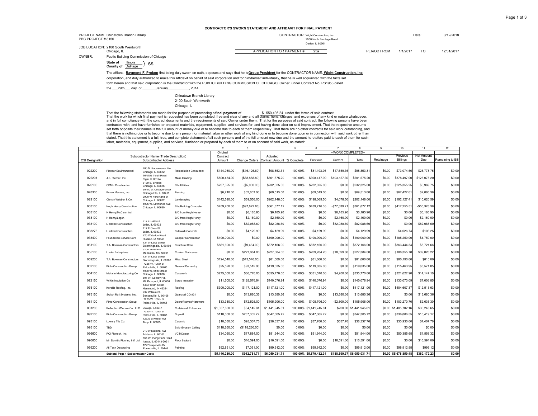| PBC PROJECT #8150 | PROJECT NAME Chinatown Branch Library             | CONTRACTOR: Wight Construction, inc.<br>2500 North Frontage Road | Darien, iL 60561 |                |            |  |  |  |
|-------------------|---------------------------------------------------|------------------------------------------------------------------|------------------|----------------|------------|--|--|--|
|                   | JOB LOCATION: 2100 South Wentworth<br>Chicago, IL | APPLICATION FOR PAYMENT#<br>25a                                  | PERIOD FROM      | 1/1/2017<br>TO | 12/31/2017 |  |  |  |
| OWNER:            | Public Building Commission of Chicago             |                                                                  |                  |                |            |  |  |  |

 The affiant, **Raymond F. Prokop** first being duly sworn on oath, deposes and says that he is **Group President** for the CONTRACTOR NAME, **Wight Construction, Inc**corporation, and duly authorized to make this Affidavit on behalf of said corporation and for him/herself individually, that he is well acquainted with the facts set forth herein and that said corporation is the Contractor with the PUBLIC BUILDiNG COMMISSION OF CHICAGO, Owner, under Contract No. PS1953 datedthe \_\_\_29th\_\_\_ day of \_\_\_\_\_\_\_January\_\_\_\_\_\_\_\_\_\_\_, 2014

> Chinatown Branch Library 2100 South WentworthChicago, IL

State of <u>Illinois }</u> SS<br>County of <u>DuPage</u> } SS

That the following statements are made for the purpose of processing a **final paymen**t of<br>That the work for which final payment is requested has been completed, free and clear of any and all clams, liens, charges, and expe and in full compliance with the contract documents and the requirements of said Owner under them. That for the purposes of said contract, the following persons have been contracted with, and have furnished or prepared materials, equipment, supplies, and services for, and having done labor on said improvement. That the respective amounts set forth opposite their names is the full amount of money due or to become due to each of them respectively. That there are no other contracts for said work outstanding, and that there is nothing due or to become due to any person for material, labor or other work of any kind done or to become done upon or in connection with said work other than stated. That this statement is a full, true, and complete statement of all such persons and of the full amount now due and the amount heretofore paid to each of them for such labor, materials, equipment, supplies, and services, furnished or prepared by each of them to or on account of said work, as stated:

|                        |                                            | Subcontractor Name (Trade Description)           |                               | Original       |                |                            |         |                | -WORK COMPLETED- |                             |           |                       |                   |                   |
|------------------------|--------------------------------------------|--------------------------------------------------|-------------------------------|----------------|----------------|----------------------------|---------|----------------|------------------|-----------------------------|-----------|-----------------------|-------------------|-------------------|
|                        |                                            |                                                  |                               |                |                |                            |         |                |                  |                             |           |                       |                   |                   |
|                        |                                            |                                                  |                               | Contract       |                | Adiusted                   |         |                |                  |                             |           | Previous              | Net Amount<br>Due | Remaining to Bill |
| <b>CSI Designation</b> |                                            | Subcontractor Address                            |                               | Amount         | Change Orders  | Contract Amount % Complete |         | Previous       | Current          | Total                       | Retainage | Billings              |                   |                   |
|                        |                                            |                                                  |                               |                |                |                            |         |                |                  |                             |           |                       |                   |                   |
| 022200                 | Pioneer Environmental                      | 700 N. Sacramento Blvc<br>Chicago, IL 60612      | <b>Remediation Consultant</b> | \$144,980.00   | (S46, 126.69)  | \$98,853.31                | 100.00% | \$81,193.95    | \$17,659.36      | \$98,853.31                 | \$0.00    | \$73,074.56           | \$25,778.75       | \$0.00            |
|                        |                                            | 16N158 Tyrell Road                               |                               |                |                |                            |         |                |                  |                             |           |                       |                   |                   |
| 022201                 | J.S. Riemer, Inc.                          | Elgin, IL 60124                                  | Mass Grading                  | \$590,434.00   | (\$88.858.80)  | \$501,575.20               | 100.00  | \$398,417.90   | \$103,157.30     | \$501,575.20                | \$0.00    | \$378,497.00          | \$123,078.20      | \$0.00            |
| 026100                 | CPMH Construction                          | 3129 S. Shields<br>Chicago, IL 60616             | <b>Site Utilities</b>         | \$237,325.00   | (\$5,000.00)   | \$232,325.00               | 100.00% | \$232,325.00   | \$0.00           | \$232,325.00                | \$0.00    | \$225,355.25          | \$6,969.75        | \$0.00            |
|                        |                                            | 20400 S. Cottage Grove                           |                               |                |                |                            |         |                |                  |                             |           |                       |                   |                   |
| 028300                 | Fence Masters, Inc.                        | Chicago Hts, IL 60411                            | Fencing                       | \$6,710.00     | \$62,803,00    | \$69,513.00                | 100.00% | \$69,513.00    | \$0.00           | \$69,513.00                 | \$0.00    | \$67,427.61           | \$2,085.39        | \$0.00            |
| 029100                 | Christy Webber & Co.                       | 2900 W Ferdinand St                              | Landscaping                   | \$142,590.00   | \$59,558.00    | \$202,148.00               | 100.00% | \$198,069.50   | \$4,078.50       | \$202.148.00                | \$0.00    | \$192,127.4           | \$10,020.59       | \$0.00            |
|                        |                                            | Chicago, IL 60612<br>5905 W. Lawrence Ave        |                               |                |                |                            |         |                |                  |                             |           |                       |                   |                   |
| 033100                 | <b>Hugh Henry Construction</b>             | Chicago, IL 60630                                | <b>Site/Building Concrete</b> | \$459,700.00   | (\$97,822,88)  | \$361,877.12               | 100.00% | \$439,216.33   | $-$77.339.21$    | \$361,877.12                | \$0.00    | \$417,255.5           | $-$ \$55.378.39   | \$0.00            |
| 033100                 | H Henry/McCann Ind.                        |                                                  | B/C from Hugh Henry           | \$0.00         | \$6,185.90     | \$6,185.90                 | 100.00% | \$0.00         | \$6,185.90       | \$6,185.90                  | \$0.00    | \$0.00                | \$6,185.90        | \$0.00            |
| 033100                 |                                            |                                                  |                               | \$0.00         | \$2,160.00     | \$2,160.00                 | 100.00% | \$0.00         | \$2,160.00       | \$2,160.00                  | \$0.00    | \$0.00                | \$2,160.00        | \$0.00            |
|                        | H Henry/Litgen                             | 717 E Cass St                                    | B/C from Hugh Henry           |                |                |                            |         |                |                  |                             |           |                       |                   |                   |
| 033100                 | Lindblad Construction                      | Joliet, IL 60432                                 | B/C from Hugh Henry           | \$0.00         | \$82,088.60    | \$82,088.60                | 100.00% | \$0.00         | \$82,088.60      | \$82,088.60                 | \$0.00    | \$0.00                | \$82,088.60       | \$0.00            |
| 033275                 | Lindblad Construction                      | 717 E Cass St                                    | Sidewalk Concrete             | \$0.00         |                |                            |         | \$4,129.99     | \$0.00           | \$4,129.99                  | \$0.00    |                       |                   | \$0.00            |
|                        |                                            | Joliet, IL 60432<br>220 Waterloo Road            |                               |                | \$4,129.99     | \$4,129.99                 | 100.00% |                |                  |                             |           | \$4,026.74            | \$103.25          |                   |
| 033400                 | Foundation Service Corp                    | Hudson, IA 50643                                 | Geopier Construction          | \$190,000.00   | \$0.00         | \$190,000.00               | 100.00% | \$190,000.00   | \$0.00           | \$190,000.00                | \$0.00    | \$185,250.00          | \$4,750.00        | \$0.00            |
|                        |                                            | 134 W Lake Street                                |                               |                |                |                            |         |                |                  |                             |           |                       |                   |                   |
| 051100                 | A. Bowman Constructors                     | Bloomingdale, IL 60108                           | <b>Structural Steel</b>       | \$881,600.00   | (\$9,434.00)   | \$872,166.00               | 100.00% | \$872,166.00   | \$0.00           | \$872,166,00                | \$0.00    | \$863,444.34          | \$8,721.66        | \$0.00            |
| 055100                 | <b>Linder Enterprises</b>                  | 3200 Third Ave                                   | <b>Custom Staircases</b>      | \$0.00         | \$227,384.00   | \$227,384.00               | 100.00% | \$209,284.20   | \$18,099.80      | \$227,384.00                | \$0.00    | \$188,355.78          | \$39,028.22       | \$0.00            |
|                        |                                            | Mankatao, MN 56001<br>134 W Lake Street          |                               |                |                |                            |         |                |                  |                             |           |                       |                   |                   |
| 059200                 | A. Bowman Constructors                     | Bloomingdale, IL 60108                           | Misc. Steel                   | \$124,540.00   | (S43, 540.00)  | \$81,000.00                | 100.00% | \$81,000.00    | \$0.00           | \$81,000.00                 | \$0.00    | \$80,190,00           | \$810.00          | \$0.00            |
| 062100                 |                                            | 7225 W. 105th St                                 |                               | \$25,520.00    | \$93,515.00    | \$119,035.00               | 100.00% | \$119,035.00   | \$0.00           | \$119,035.00                | \$0.00    | \$115,463.95          | \$3,571.05        | \$0.00            |
|                        | Pinto Construction Group                   | Palos Hills. IL 60465                            | General Carpentry             |                |                |                            |         |                |                  |                             |           |                       |                   |                   |
| 064100                 | Meilahn Manufacturing Co                   | 5900 W. 65th Street<br>Chicago, IL 60638         | Casework                      | \$275,000.00   | \$60,770.00    | \$335,770.00               | 100.00% | \$331,570.00   | \$4,200.00       | \$335,770.00                | \$0.00    | \$321,622.90          | \$14,147.10       | \$0.00            |
|                        |                                            | 501 W. Carboy Rd.                                |                               |                |                |                            |         |                |                  |                             |           |                       |                   |                   |
| 072150                 | Wilkin Insulation Co                       | Mt. Prospect, IL 60056                           | Spray Insulation              | \$11,500.00    | \$128,576.94   | \$140,076.94               | 100.00% | \$140,076.94   | \$0.00           | \$140,076.94                | \$0.00    | \$133,073.09          | \$7,003.85        | \$0.00            |
| 075100                 | Korellis Roofing, Inc.                     | 1333 169th Street                                | Roofing                       | \$300,000.00   | \$117,121.00   | \$417,121.00               | 100.00% | \$417,121.00   | \$0.00           | \$417,121.00                | \$0.00    | \$404,607.37          | \$12,513.63       | \$0.00            |
|                        |                                            | Hammond, IN 46324<br>232 William St.             |                               |                |                |                            |         |                |                  |                             |           |                       |                   |                   |
| 075150                 | Switch Rail Systems, Inc.                  | Bensenville, IL 60106                            | Guardrail CO #31              | \$0.00         | \$13,680.36    | \$13,680.36                | 100.00% | \$0.00         | \$13,680.36      | \$13,680,36                 | \$0.00    | \$0.00                | \$13,680.36       | \$0.00            |
| 081100                 |                                            | 7225 W. 105th St                                 |                               | \$33,380.00    | \$72,526.00    | \$105,906.00               | 100.00% | \$108,706.00   | $-$ \$2.800.00   | \$105,906.00                | \$0.00    | \$103,270.70          | \$2,635.30        | \$0.00            |
|                        | Pinto Construction Group                   | Palos Hills. IL 60465                            | Doors/Frames/Hardware         |                |                |                            |         |                |                  |                             |           |                       |                   |                   |
| 081200                 | Reflection Window Co., LLC                 | Chicago, IL 60647                                | Curtainwall Entrances         | \$1,357,800.00 | \$84,145.81    | \$1,441,945.81             | 100.00% | \$1,441,745.81 |                  | \$200.00 \$1.441.945.81     | \$0.00    | \$1,405,702.16        | \$36,243.65       | \$0.00            |
| 092100                 | Pinto Construction Group                   | 7225 W. 105th St                                 | Drywall                       | \$110,000.00   | \$237,305.72   | \$347,305.72               | 100.00% | \$347,305.72   | \$0.00           | \$347,305.72                | \$0.00    | \$336,886.55          | \$10,419.17       | \$0.00            |
|                        |                                            | Palos Hills. IL 60465<br>12335 S Keeler Ave      |                               |                |                |                            |         |                |                  |                             |           |                       |                   |                   |
| 093100                 | Lowery Tile Co.                            | Alsip. IL 60803                                  | Ceramic                       | \$10,030.00    | \$28,307.76    | \$38,337.76                | 100.00% | \$37,700.00    | \$637.76         | \$38,337.76                 | \$0.00    | \$33,930,00           | \$4,407.76        | \$0.00            |
| 095100                 | TBD                                        |                                                  | Strip Gypsum Ceiling          | \$118,260.00   | (\$118,260.00) | \$0.00                     | 0.00%   | \$0.00         | \$0.00           | \$0.00                      | \$0.00    | \$0.00                | \$0.00            | \$0.00            |
|                        |                                            | 910 W National Ave                               |                               |                |                |                            |         |                |                  |                             |           |                       |                   |                   |
| 096600                 | PCI Flortech, Inc.                         | Addison, IL 60101                                | VCT/Carpet                    | \$34,060.00    | \$17,884.00    | \$51,944.00                | 100.00% | \$51.944.00    | \$0.00           | \$51,944.00                 | \$0.00    | \$50,385.68           | \$1,558.32        | \$0.00            |
| 096650                 | Mr. David's Flooring Int'l Ltd.            | 865 W. Irving Park Road<br>Itasca. IL 60143-2021 | <b>Floor Sealant</b>          | \$0.00         | \$16,591.00    | \$16,591.00                | 100.00% | \$0.00         | \$16,591.00      | \$16,591.00                 | \$0.00    | \$0.00                | \$16,591.00       | \$0.00            |
|                        |                                            | 1227 Naperville Dr                               |                               |                |                |                            |         |                |                  |                             |           |                       |                   |                   |
| 099200                 | All Tech Decorating                        | Romeoville, IL 60446                             | Painting                      | \$92.851.00    | \$7,061.00     | \$99.912.00                | 100.00% | \$99,912.00    | \$0.00           | \$99,912.00                 | \$0.00    | \$98,912.88           | \$999.12          | \$0.00            |
|                        | <b>Subtotal Page 1 Subcontractor Costs</b> |                                                  |                               | \$5,146,280.00 | \$912.751.71   | \$6,059,031.71             | 100.00% | \$5,870,432.34 |                  | \$188,599.37 \$6,059.031.71 |           | \$0.00 \$5.678.859.48 | \$380.172.23      | \$0.00            |